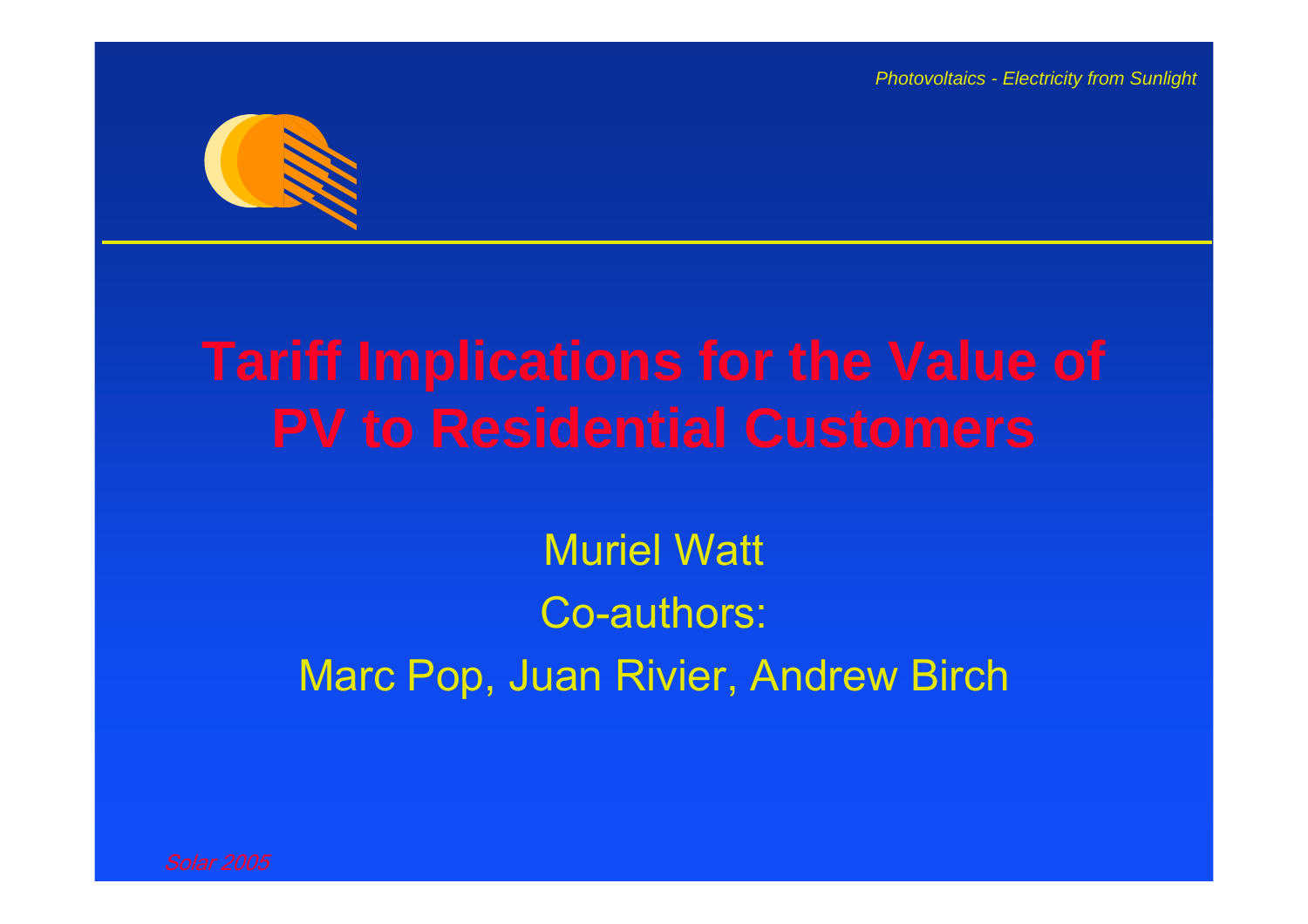

Muriel Watt Co-authors: Marc Pop, Juan Rivier, Andrew Birch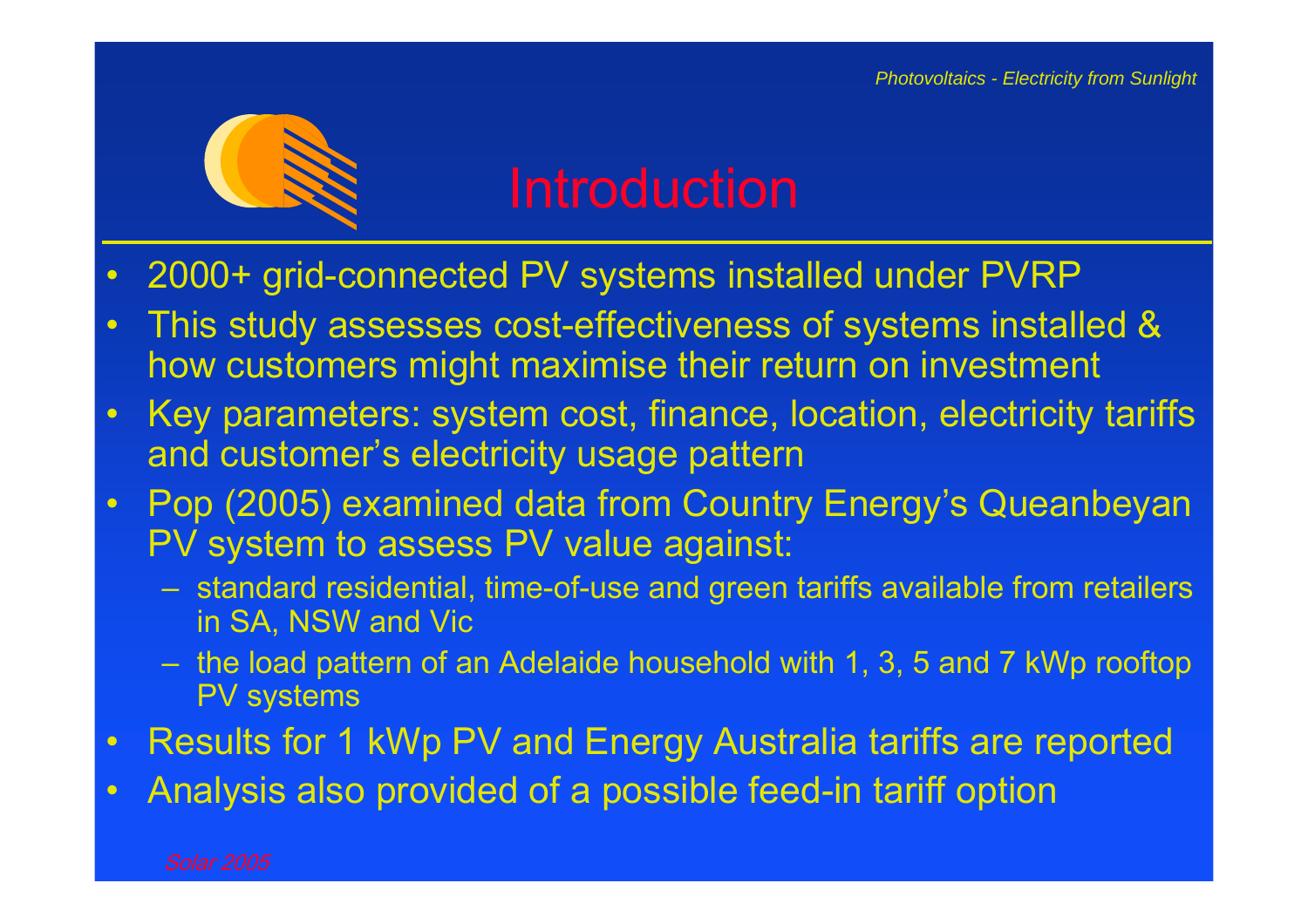

- $\bullet$ 2000+ grid-connected PV systems installed under PVRP
- • This study assesses cost-effectiveness of systems installed & how customers might maximise their return on investment
- $\bullet$  Key parameters: system cost, finance, location, electricity tariffs and customer's electricity usage pattern
- $\bullet$  Pop (2005) examined data from Country Energy's Queanbeyan PV system to assess PV value against:
	- – standard residential, time-of-use and green tariffs available from retailers in SA, NSW and Vic
	- – the load pattern of an Adelaide household with 1, 3, 5 and 7 kWp rooftop PV systems
- $\bullet$ Results for 1 kWp PV and Energy Australia tariffs are reported
- •Analysis also provided of a possible feed-in tariff option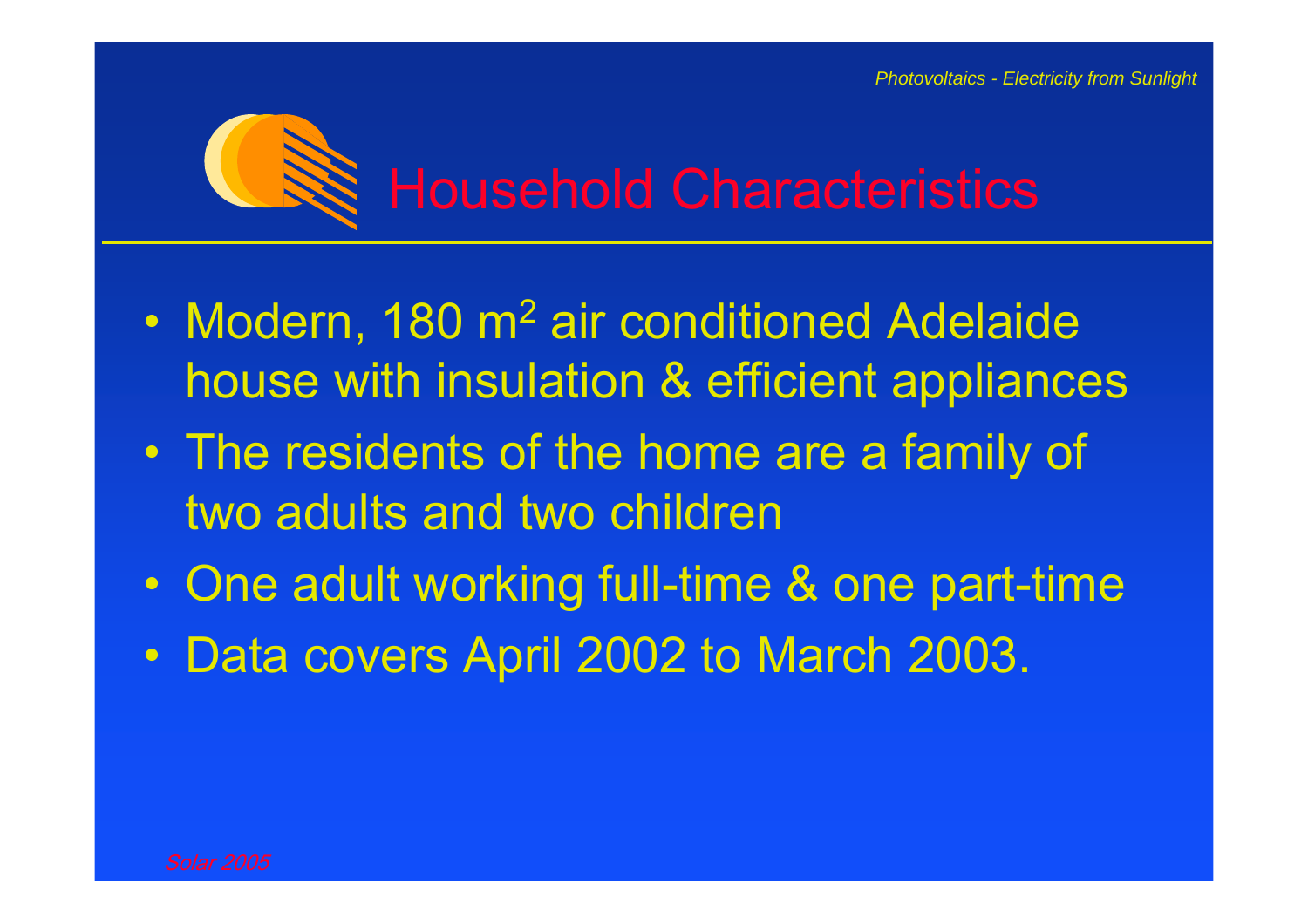

- $\bullet$ Modern, 180 m<sup>2</sup> air conditioned Adelaide house with insulation & efficient appliances
- $\bullet$  The residents of the home are a family of two adults and two children
- $\bullet$ One adult working full-time & one part-time
- Data covers April 2002 to March 2003.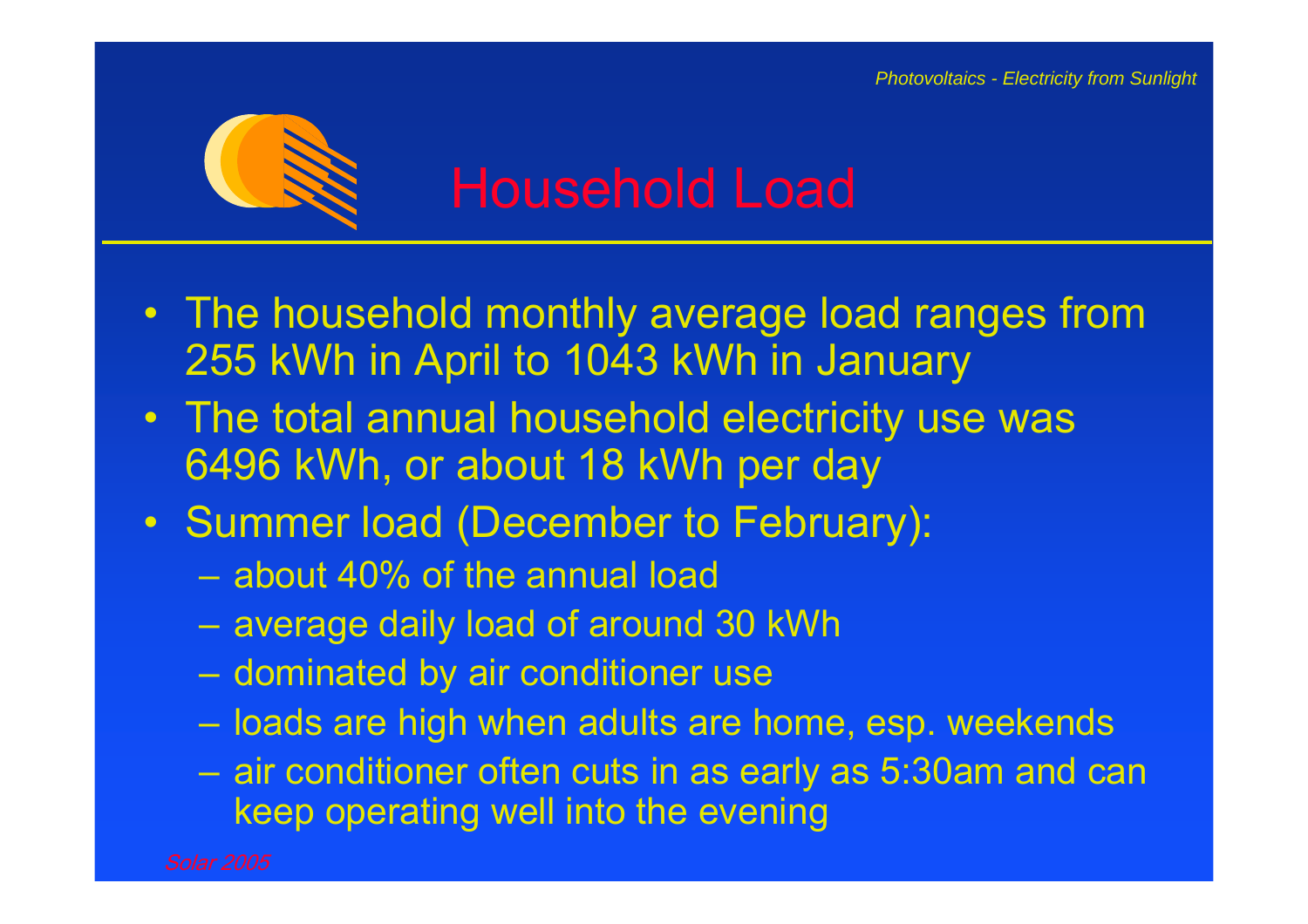

- The household monthly average load ranges from 255 kWh in April to 1043 kWh in January
- The total annual household electricity use was 6496 kWh, or about 18 kWh per day
- Summer load (December to February):
	- about 40% of the annual load
	- –average daily load of around 30 kWh
	- –dominated by air conditioner use
	- loads are high when adults are home, esp. weekends
	- – air conditioner often cuts in as early as 5:30am and can keep operating well into the evening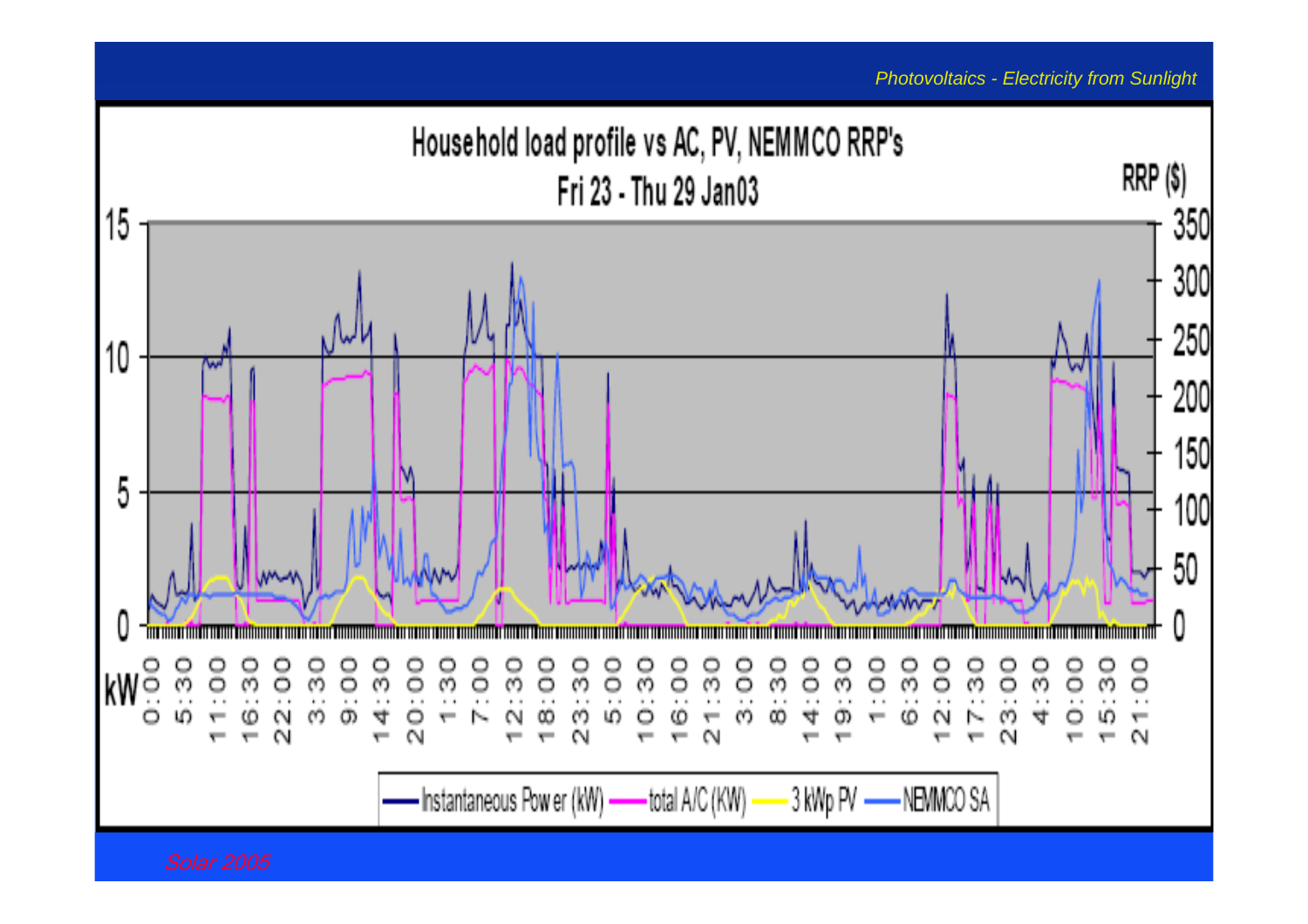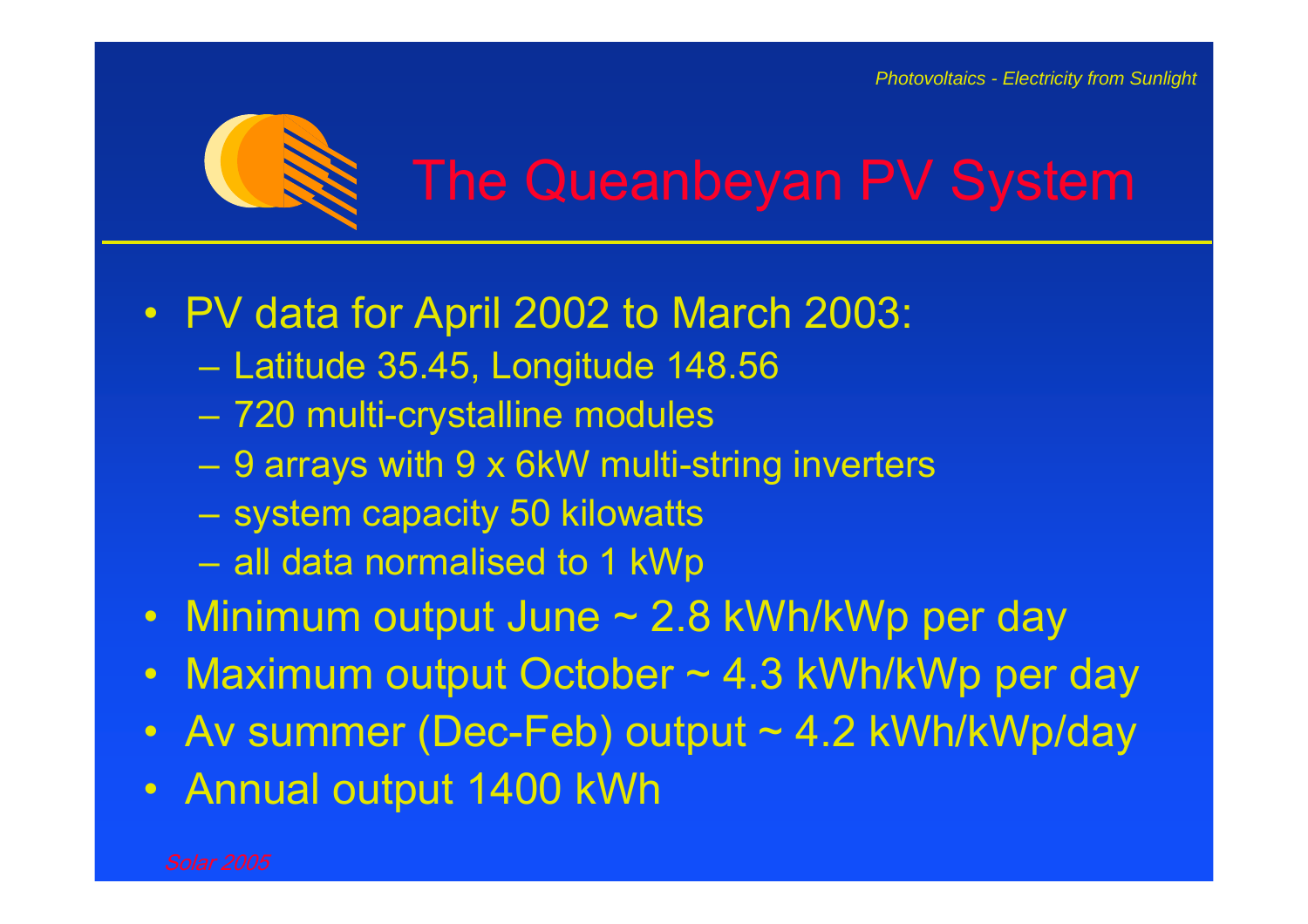

- PV data for April 2002 to March 2003:
	- –Latitude 35.45, Longitude 148.56
	- 720 multi-crystalline modules
	- –9 arrays with 9 x 6kW multi-string inverters
	- –system capacity 50 kilowatts
	- –all data normalised to 1 kWp
- Minimum output June ~ 2.8 kWh/kWp per day
- $\bullet$ Maximum output October ~ 4.3 kWh/kWp per day
- $\bullet$ Av summer (Dec-Feb) output ~ 4.2 kWh/kWp/day
- $\bullet$ Annual output 1400 kWh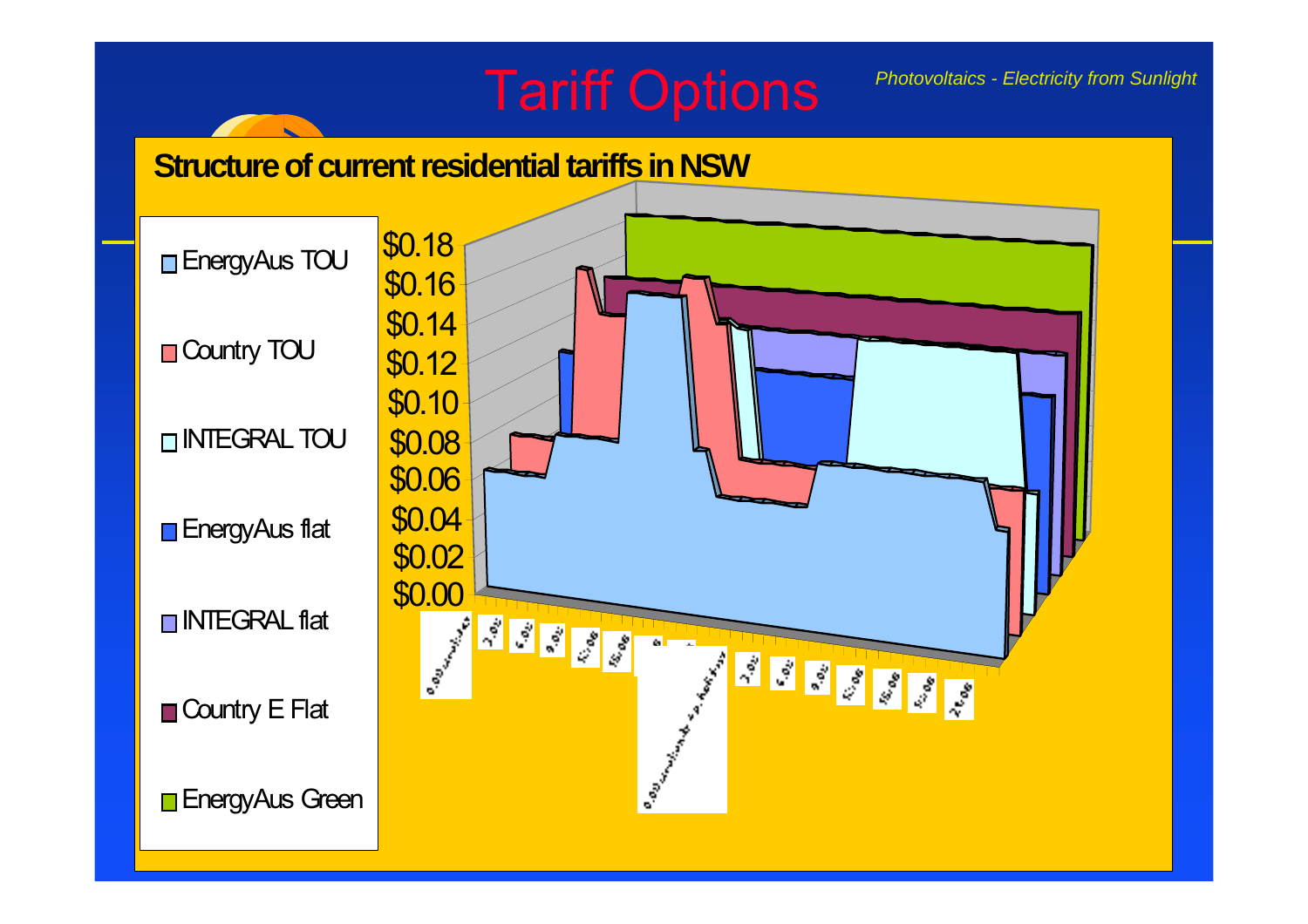## Tariff Options

*Photovoltaics - Electricity from Sunlight* 

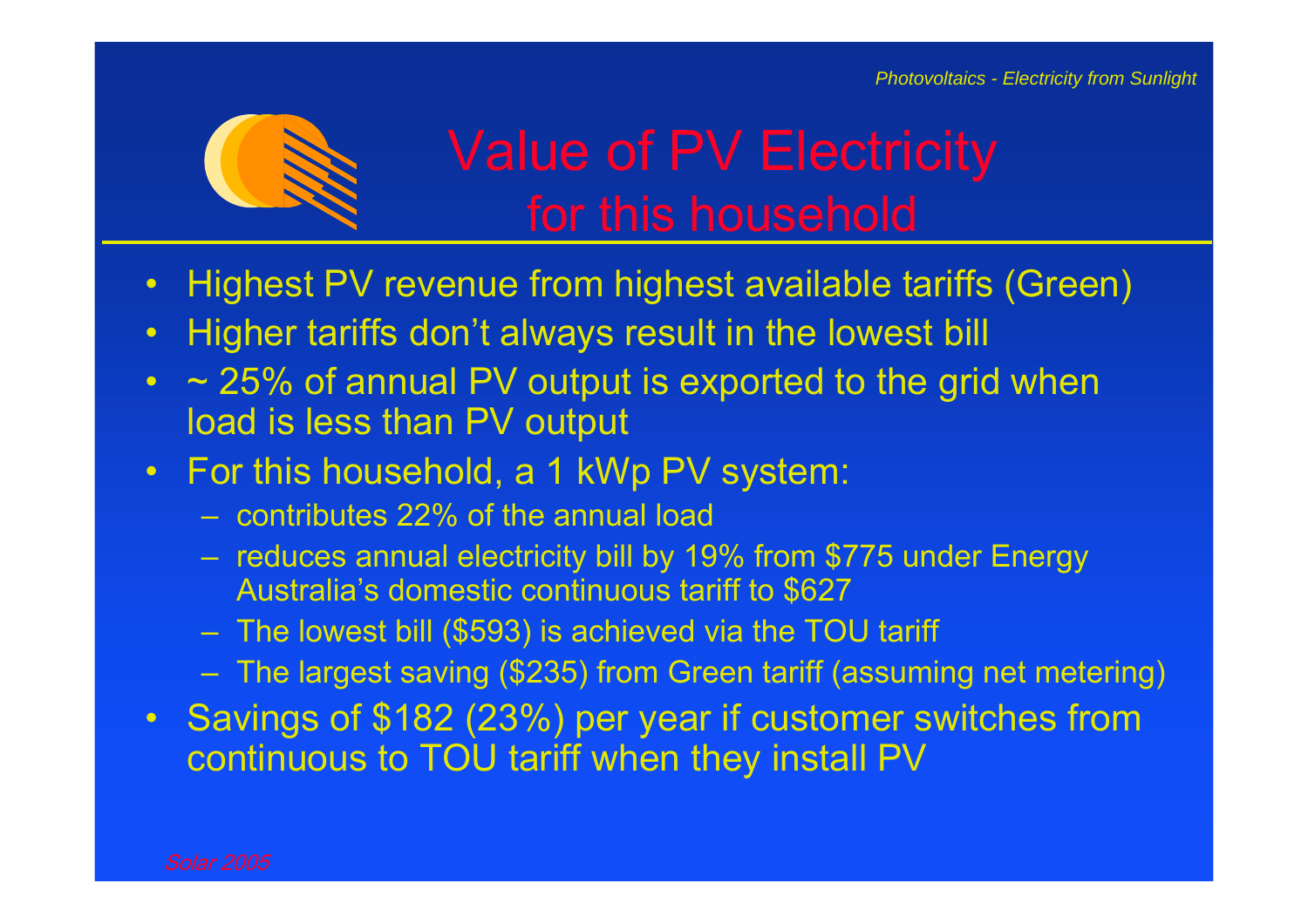

# Value of PV Electricity

- •Highest PV revenue from highest available tariffs (Green)
- •Higher tariffs don't always result in the lowest bill
- • $\sim$  25% of annual PV output is exported to the grid when load is less than PV output
- •For this household, a 1 kWp PV system:
	- contributes 22% of the annual load
	- – reduces annual electricity bill by 19% from \$775 under Energy Australia's domestic continuous tariff to \$627
	- –The lowest bill (\$593) is achieved via the TOU tariff
	- The largest saving (\$235) from Green tariff (assuming net metering)
- • Savings of \$182 (23%) per year if customer switches from continuous to TOU tariff when they install PV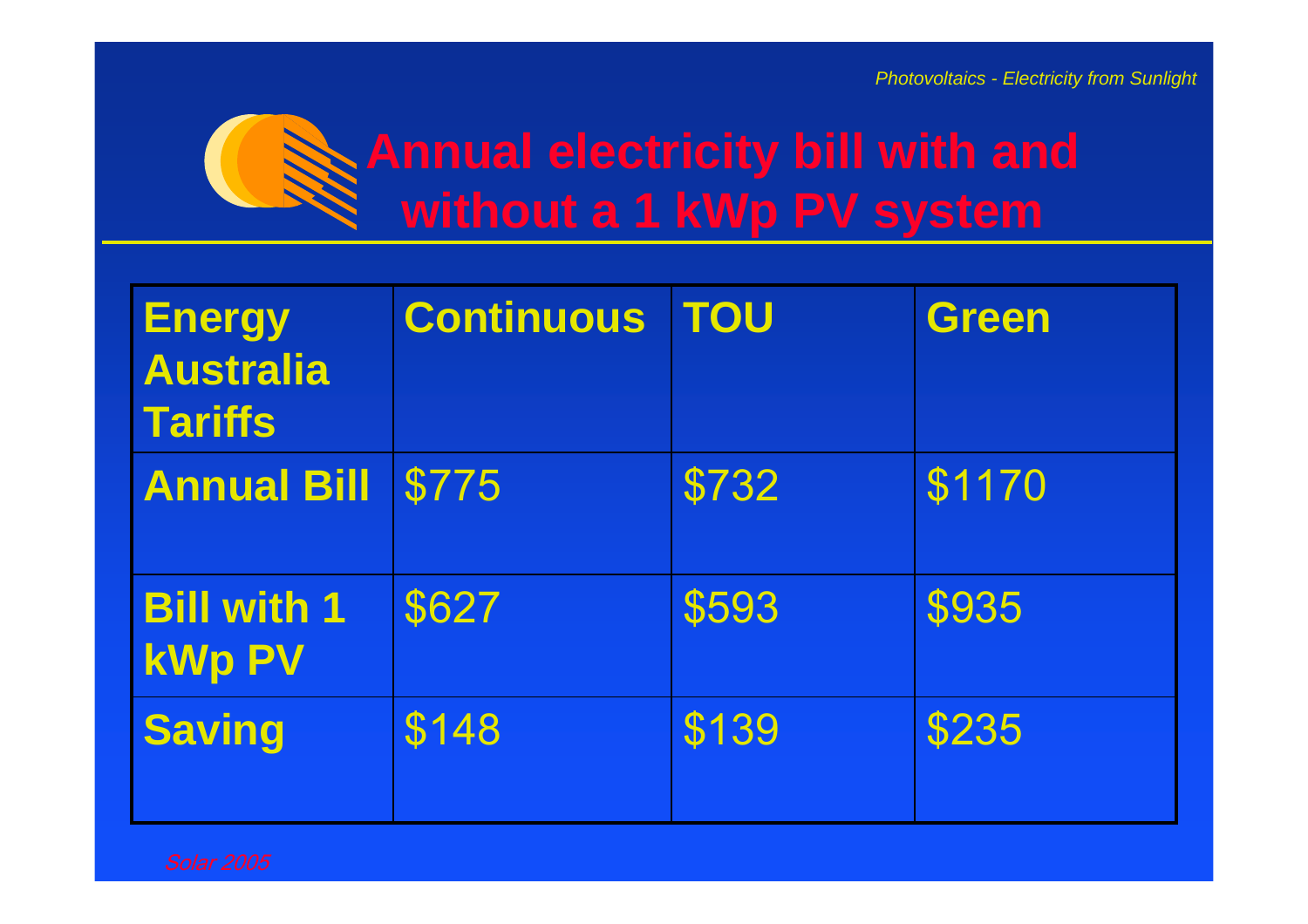

| <b>Energy</b><br><b>Australia</b><br><b>Tariffs</b> | <b>Continuous</b> | <b>TOU</b> | <b>Green</b> |
|-----------------------------------------------------|-------------------|------------|--------------|
| <b>Annual Bill</b>                                  | \$775             | \$732      | \$1170       |
| <b>Bill with 1</b><br><b>kWp PV</b>                 | \$627             | \$593      | \$935        |
| <b>Saving</b>                                       | \$148             | \$139      | \$235        |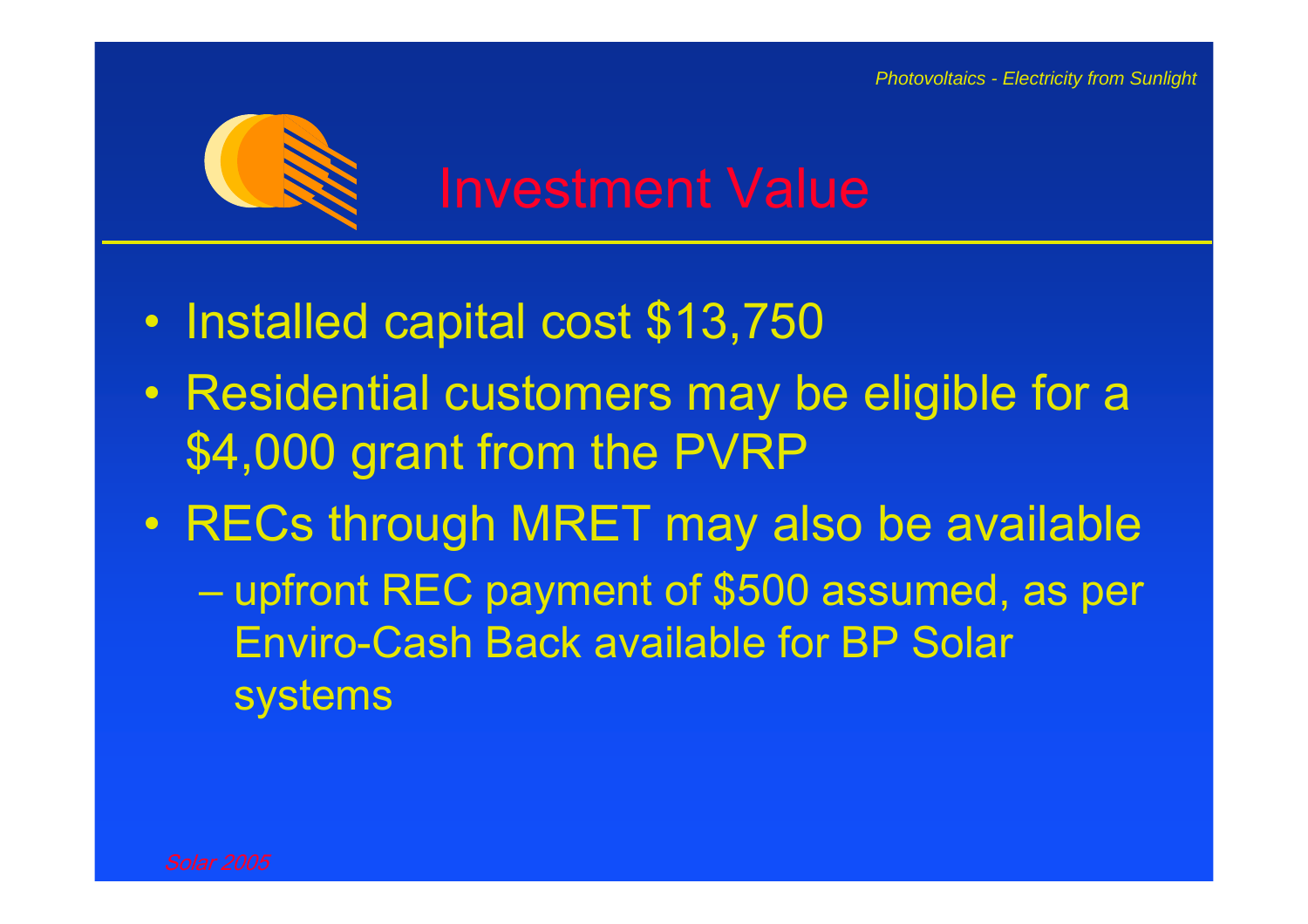

- $\bullet$ Installed capital cost \$13,750
- $\bullet$  Residential customers may be eligible for a \$4,000 grant from the PVRP
- $\bullet$  RECs through MRET may also be available  $\mathcal{L}_{\mathcal{A}}$  , and the set of the set of the set of the set of the set of the set of the set of the set of the set of the set of the set of the set of the set of the set of the set of the set of the set of the set of th upfront REC payment of \$500 assumed, as per Enviro-Cash Back available for BP Solar systems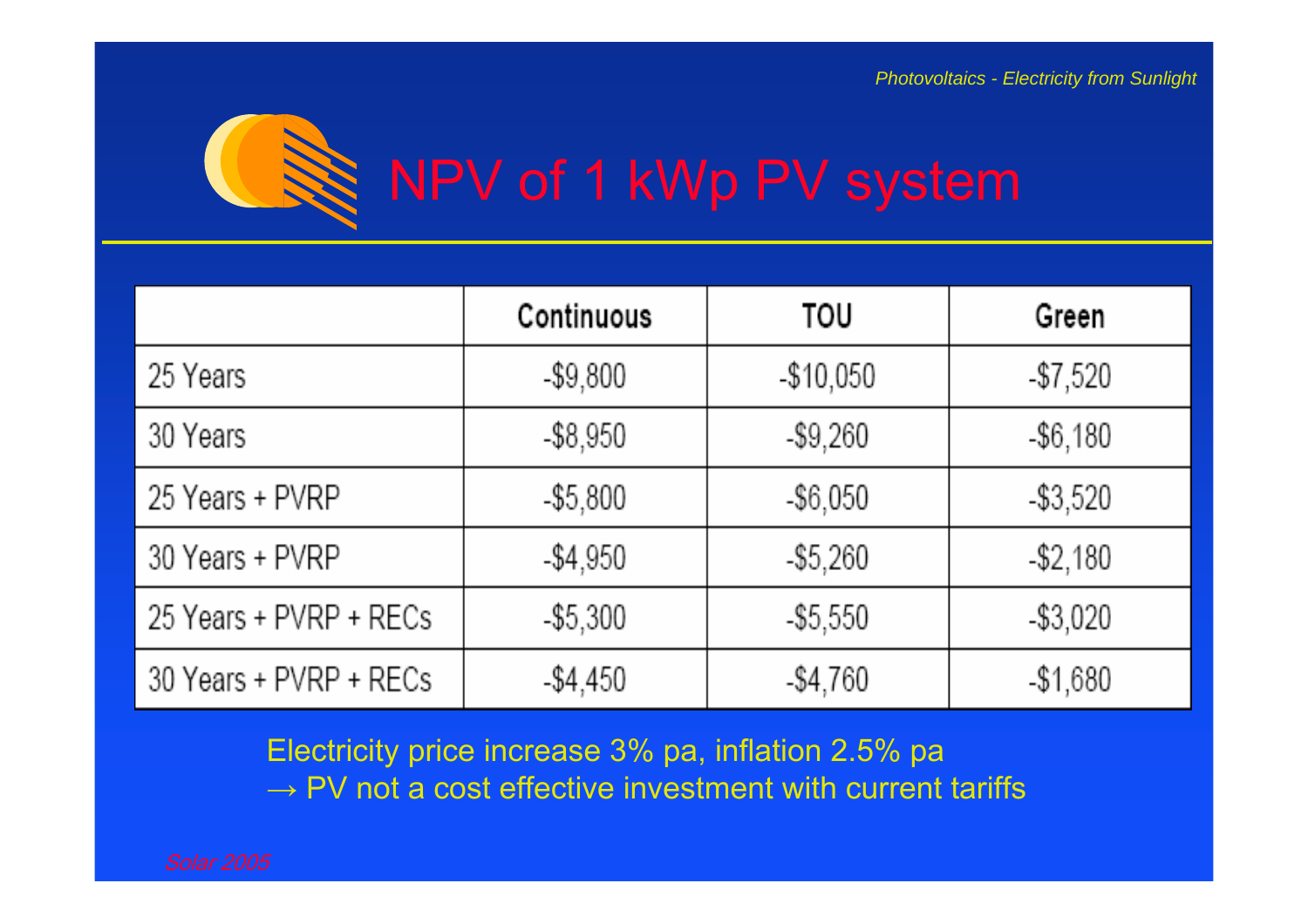

|                        | Continuous  | TOU         | Green       |
|------------------------|-------------|-------------|-------------|
| 25 Years               | $-$9,800$   | $-$10,050$  | $-$7,520$   |
| 30 Years               | $-$ \$8,950 | $-$9,260$   | $-$ \$6,180 |
| 25 Years + PVRP        | $- $5,800$  | $-$ \$6,050 | $-$ \$3,520 |
| 30 Years + PVRP        | $-$4,950$   | $-$ \$5,260 | $-$ \$2,180 |
| 25 Years + PVRP + RECs | $-$ \$5,300 | $-$ \$5,550 | $-$ \$3,020 |
| 30 Years + PVRP + RECs | $-$4,450$   | $-$4,760$   | $-$1,680$   |

Electricity price increase 3% pa, inflation 2.5% pa  $\rightarrow$  PV not a cost effective investment with current tariffs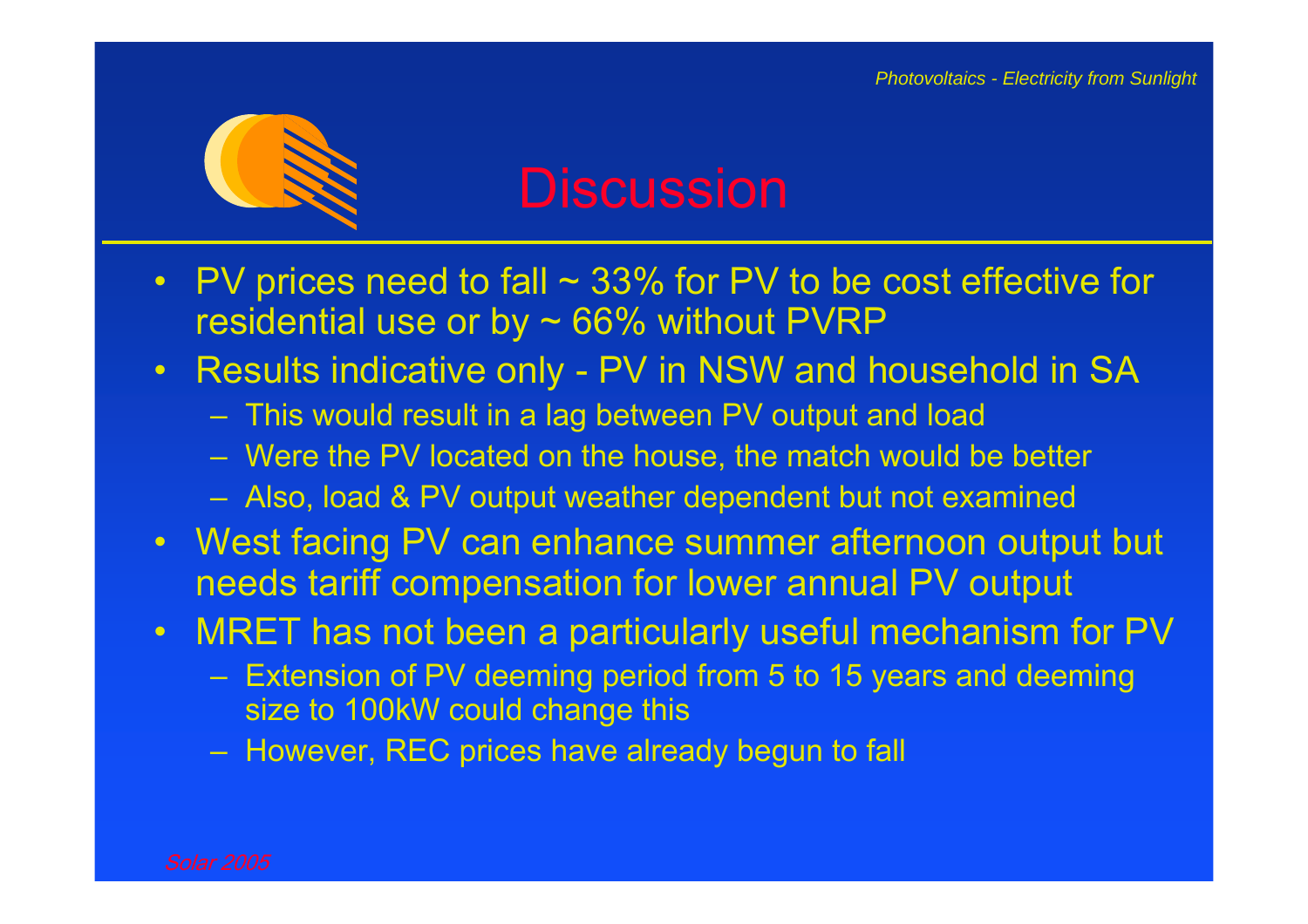

### **Discussion**

- $\bullet$ PV prices need to fall  $\sim$  33% for PV to be cost effective for residential use or by  $\sim$  66% without PVRP
- $\bullet$  Results indicative only - PV in NSW and household in SA
	- This would result in a lag between PV output and load
	- Were the PV located on the house, the match would be better
	- Also, load & PV output weather dependent but not examined
- West facing PV can enhance summer afternoon output but needs tariff compensation for lower annual PV output
- $\bullet$  MRET has not been a particularly useful mechanism for PV
	- Extension of PV deeming period from 5 to 15 years and deeming size to 100kW could change this
	- However, REC prices have already begun to fall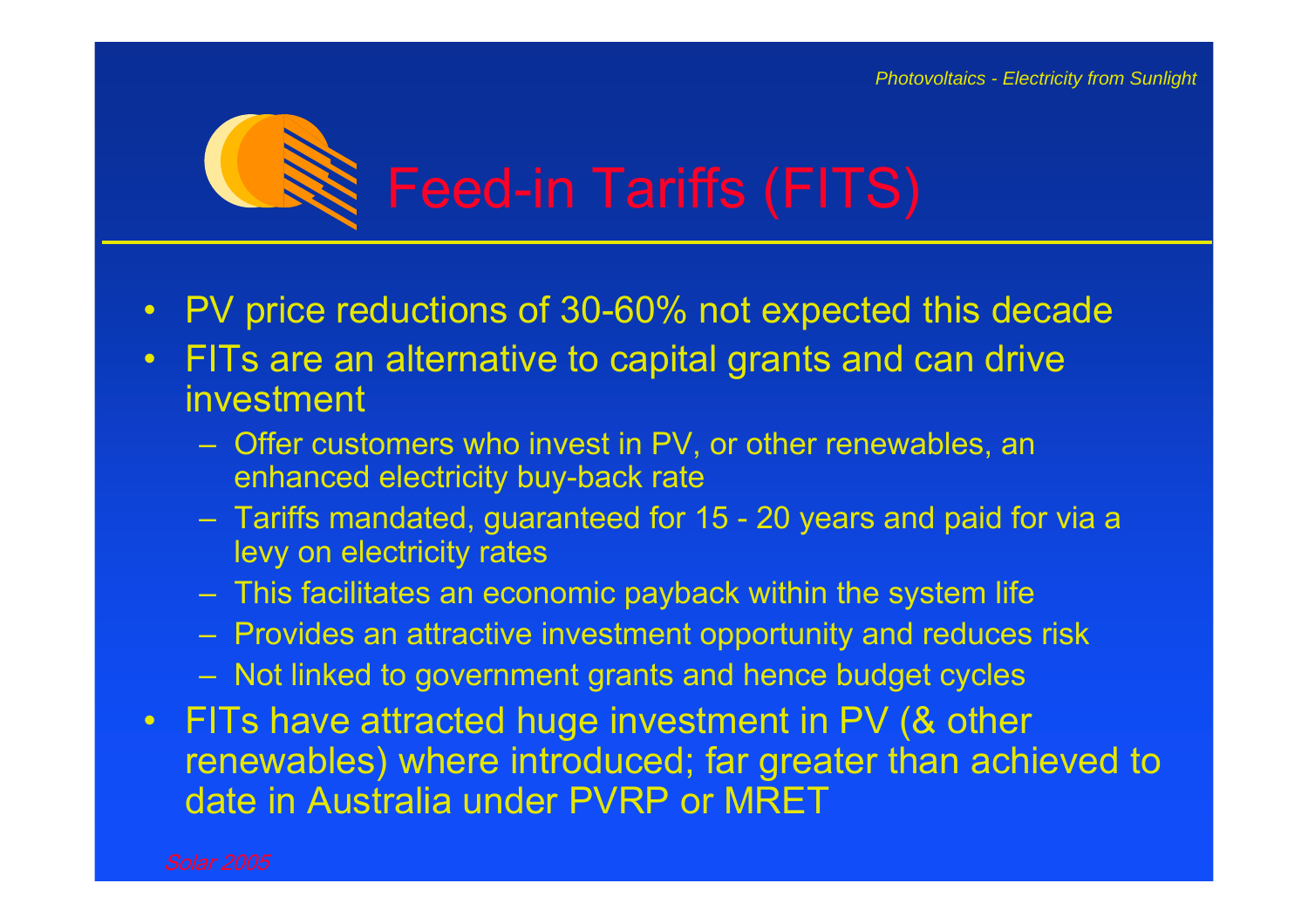

- •PV price reductions of 30-60% not expected this decade
- $\bullet$  FITs are an alternative to capital grants and can drive investment
	- Offer customers who invest in PV, or other renewables, an enhanced electricity buy-back rate
	- – Tariffs mandated, guaranteed for 15 - 20 years and paid for via a levy on electricity rates
	- –This facilitates an economic payback within the system life
	- Provides an attractive investment opportunity and reduces risk
	- Not linked to government grants and hence budget cycles
- $\bullet$  FITs have attracted huge investment in PV (& other renewables) where introduced; far greater than achieved to date in Australia under PVRP or MRET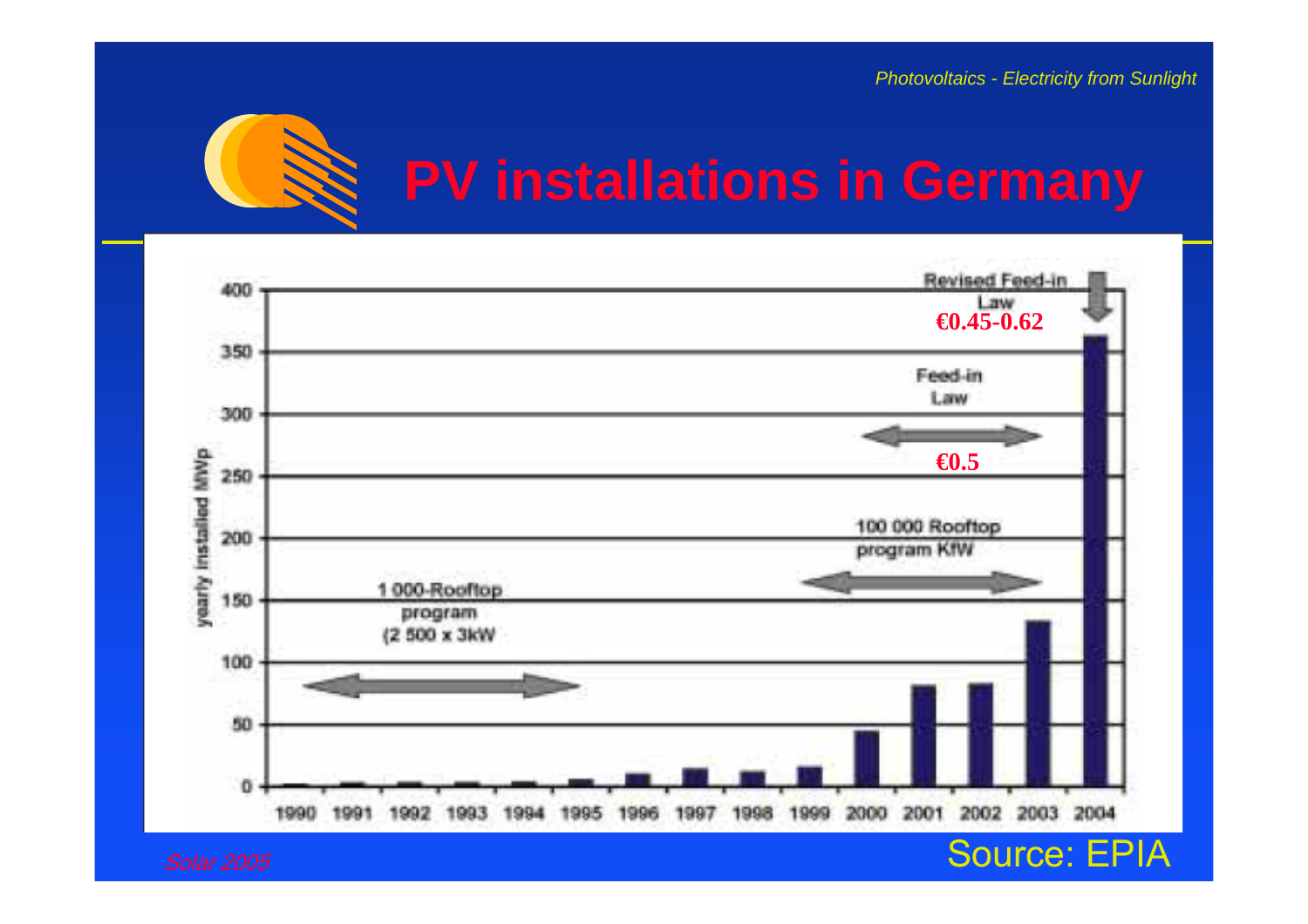

## **PV installations in Germany**

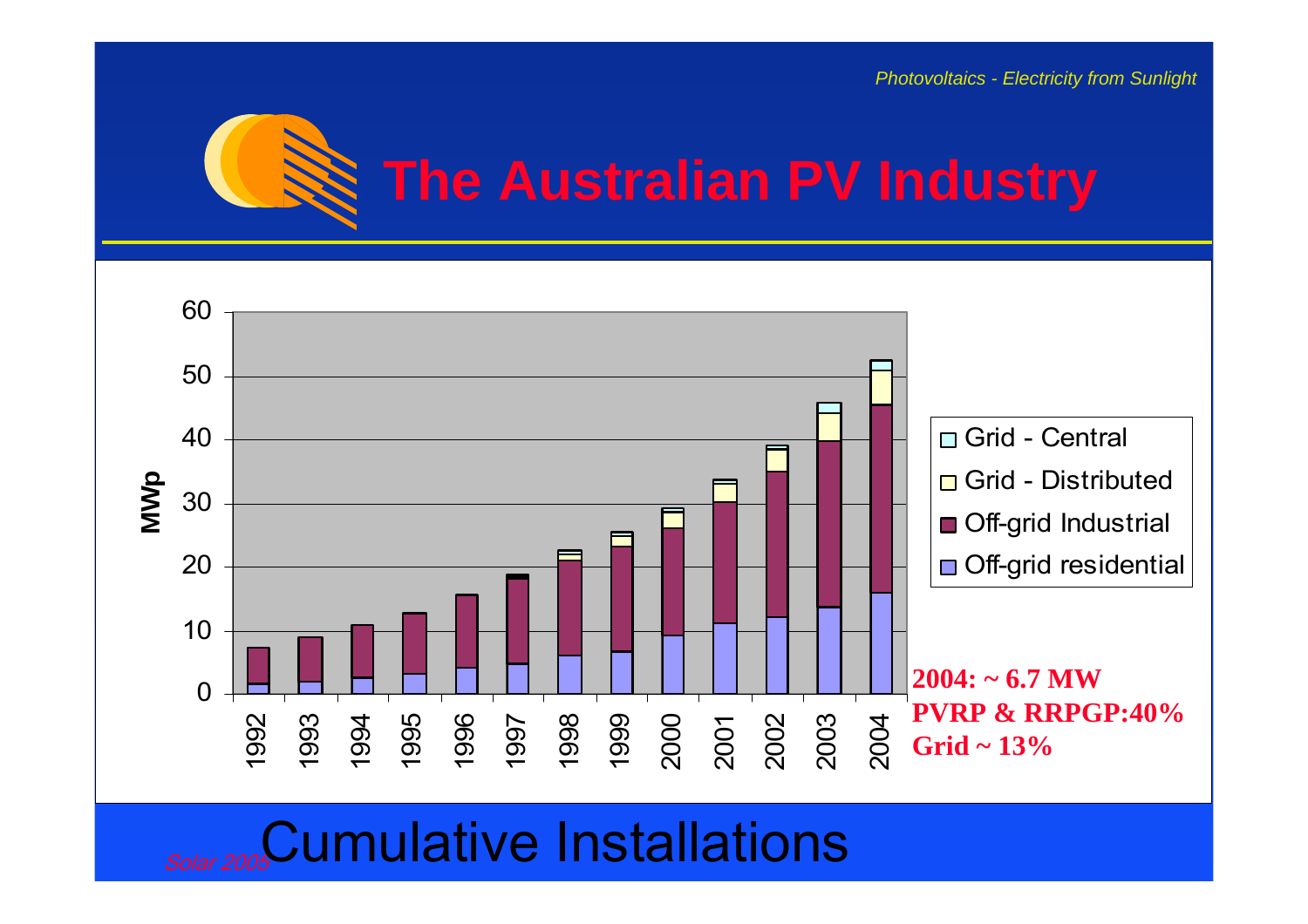

## **The Australian PV Industry**



**Solar 2005** Cumulative Installations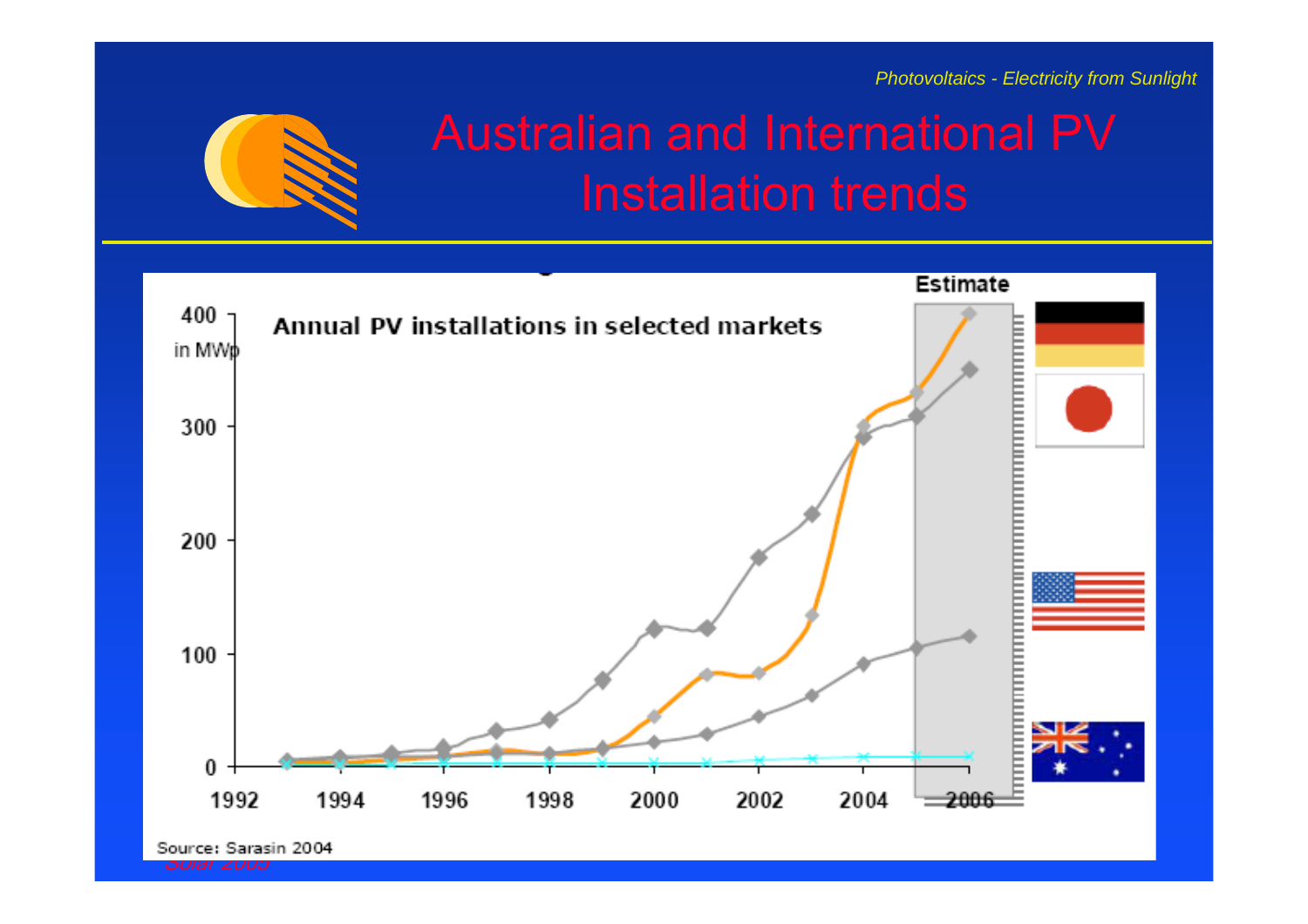

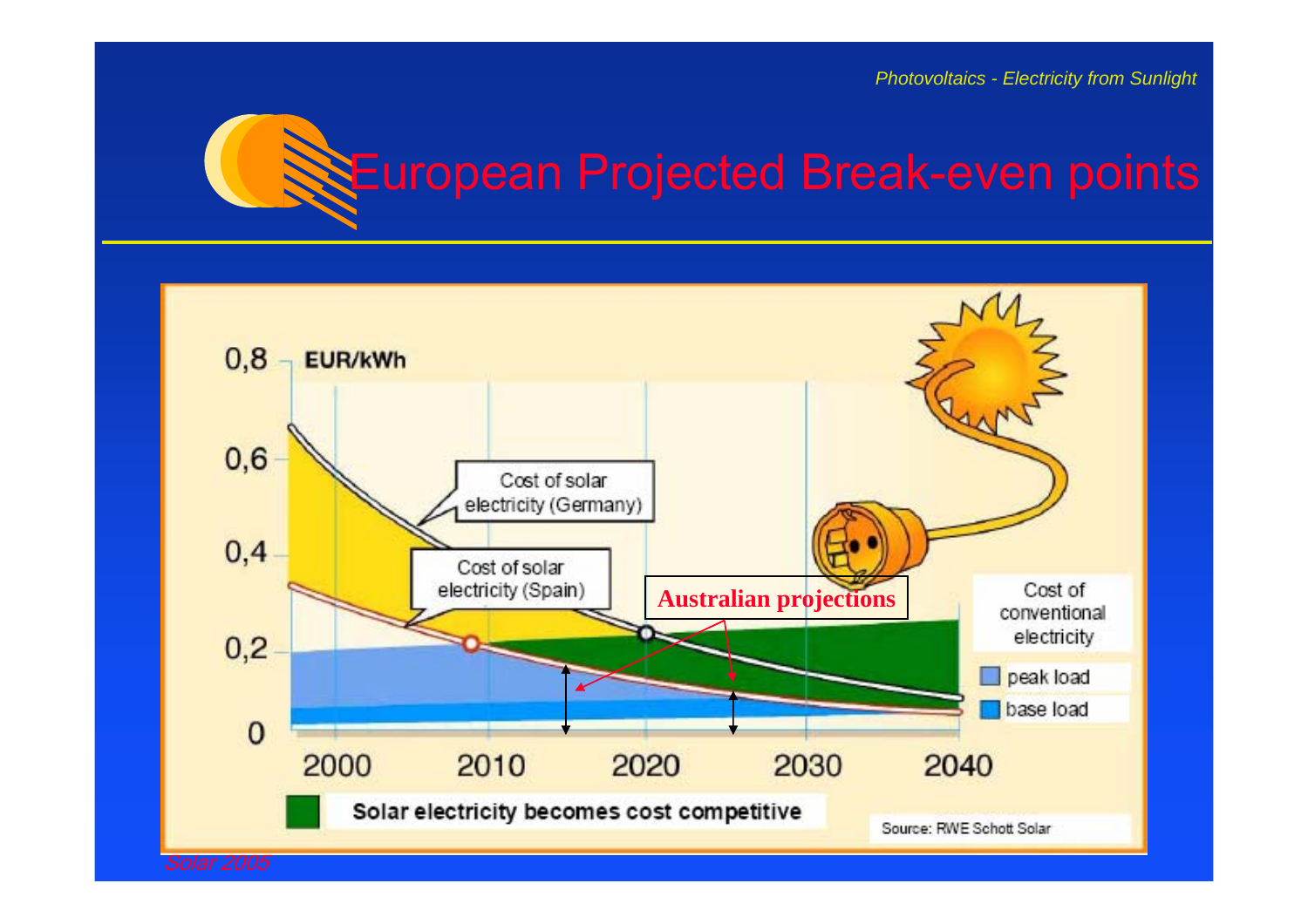## European Projected Break-even points



Solar 2005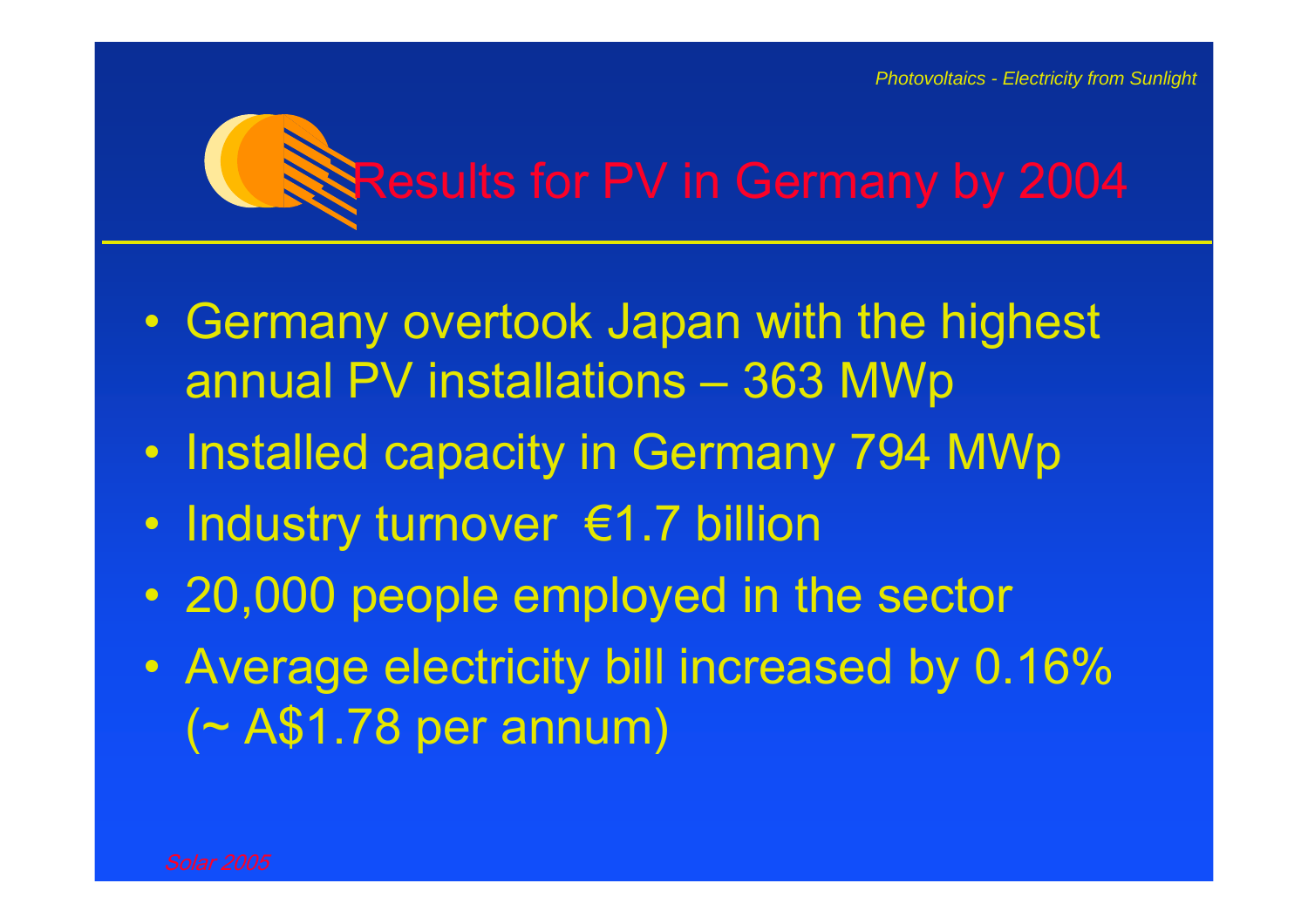## Results for PV in Germany by 2004

- $\bullet$  Germany overtook Japan with the highest annual PV installations – 363 MWp
- $\bullet$ Installed capacity in Germany 794 MWp
- •Industry turnover €1.7 billion
- 20,000 people employed in the sector
- $\bullet$  Average electricity bill increased by 0.16% (~ A\$1.78 per annum)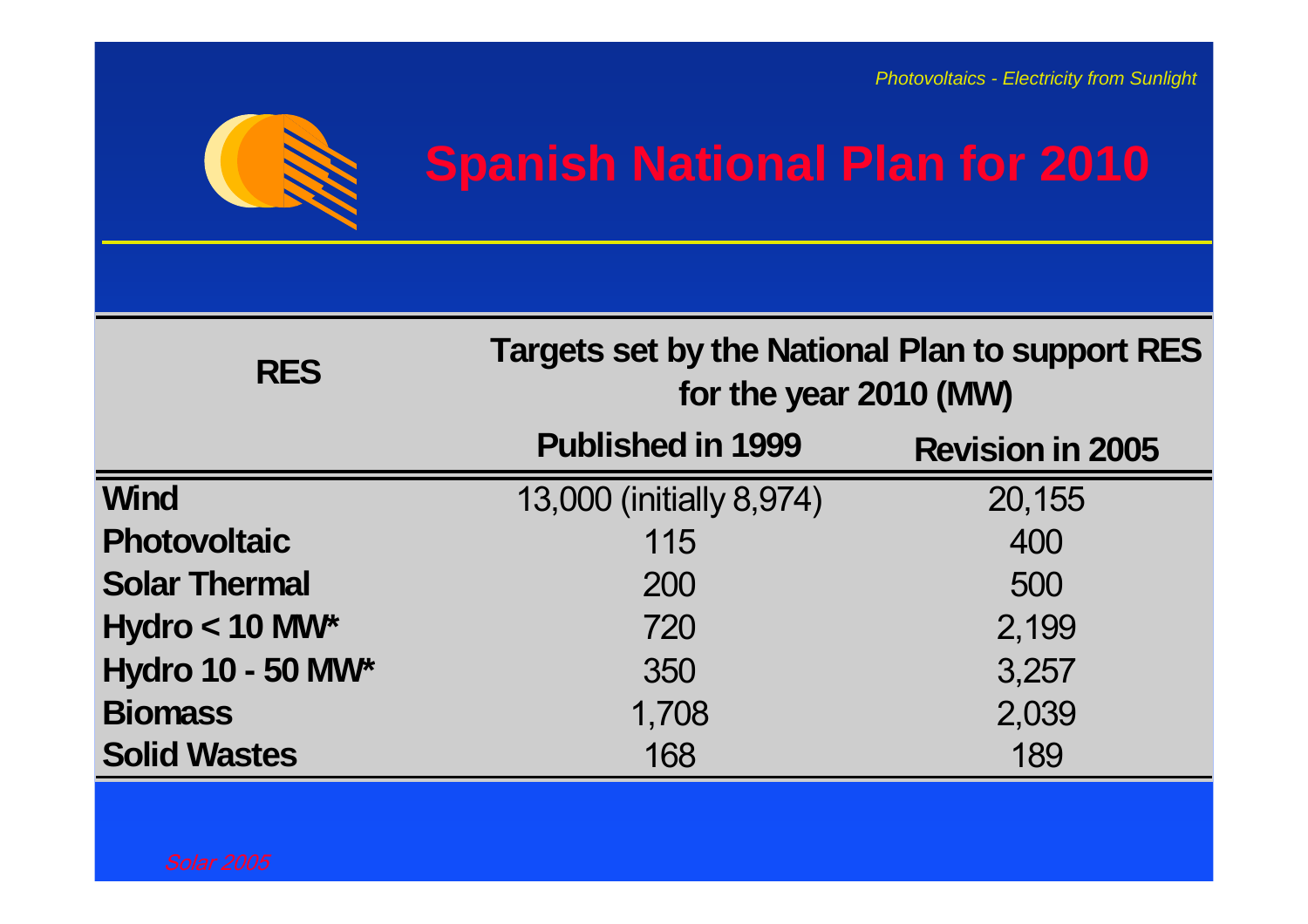

## **Spanish National Plan for 2010**

| <b>RES</b>               | Targets set by the National Plan to support RES<br>for the year 2010 (MW) |                         |  |
|--------------------------|---------------------------------------------------------------------------|-------------------------|--|
|                          | <b>Published in 1999</b>                                                  | <b>Revision in 2005</b> |  |
| <b>Wind</b>              | 13,000 (initially 8,974)                                                  | 20,155                  |  |
| <b>Photovoltaic</b>      | 115                                                                       | 400                     |  |
| <b>Solar Thermal</b>     | 200                                                                       | 500                     |  |
| Hydro $<$ 10 MW*         | 720                                                                       | 2,199                   |  |
| <b>Hydro 10 - 50 MW*</b> | 350                                                                       | 3,257                   |  |
| <b>Biomass</b>           | 1,708                                                                     | 2,039                   |  |
| <b>Solid Wastes</b>      | 168                                                                       | 189                     |  |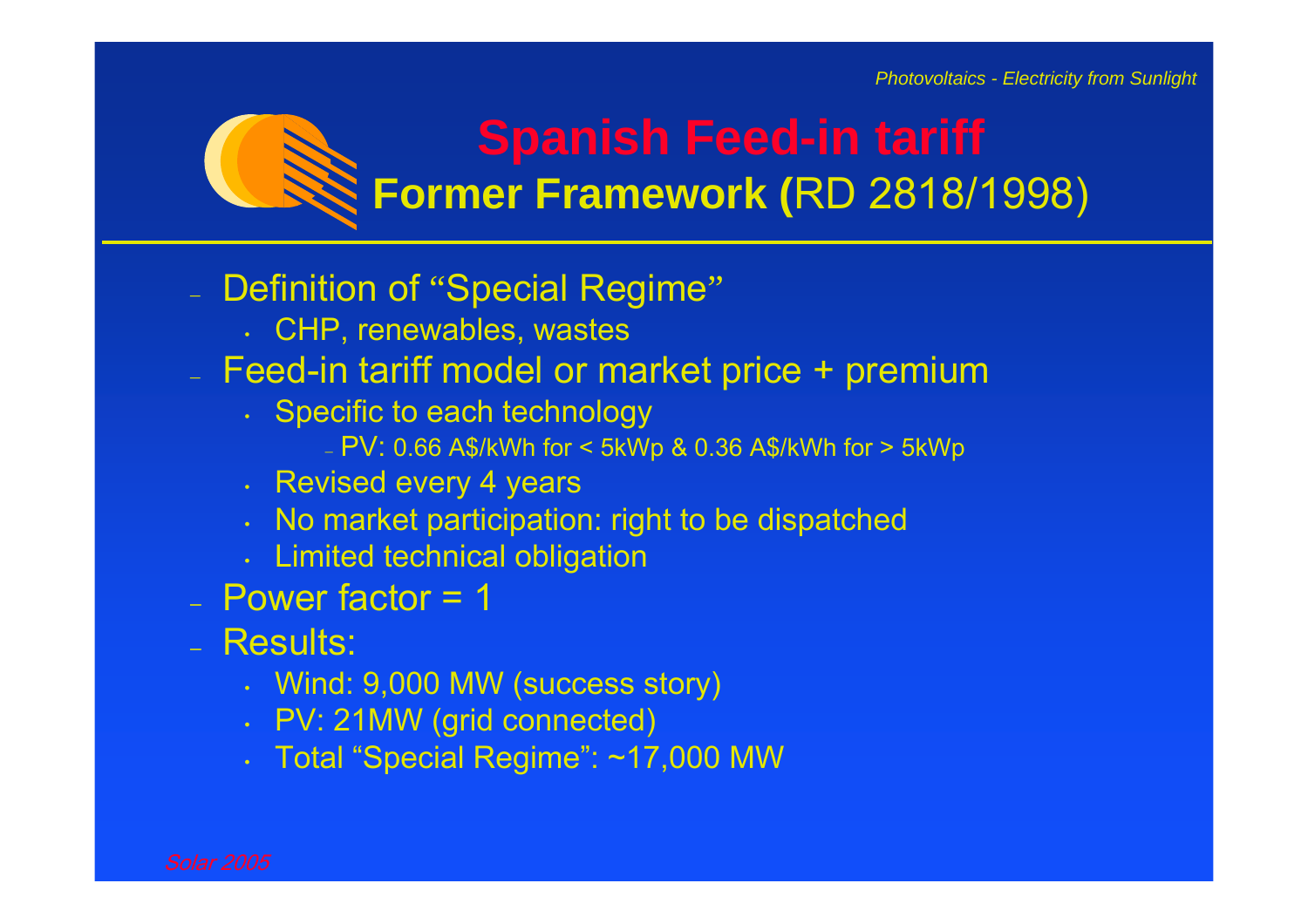### **Spanish Feed-in tariff Former Framework (**RD 2818/1998)

### Definition of "Special Regime"

- CHP, renewables, wastes
- Feed-in tariff model or market price + premium
	- Specific to each technology
		- PV: 0.66 A\$/kWh for < 5kWp & 0.36 A\$/kWh for > 5kWp
	- Revised every 4 years
	- No market participation: right to be dispatched
	- Limited technical obligation
- Power factor = 1
- Results:
	- Wind: 9,000 MW (success story)
	- PV: 21MW (grid connected)
	- Total "Special Regime": ~17,000 MW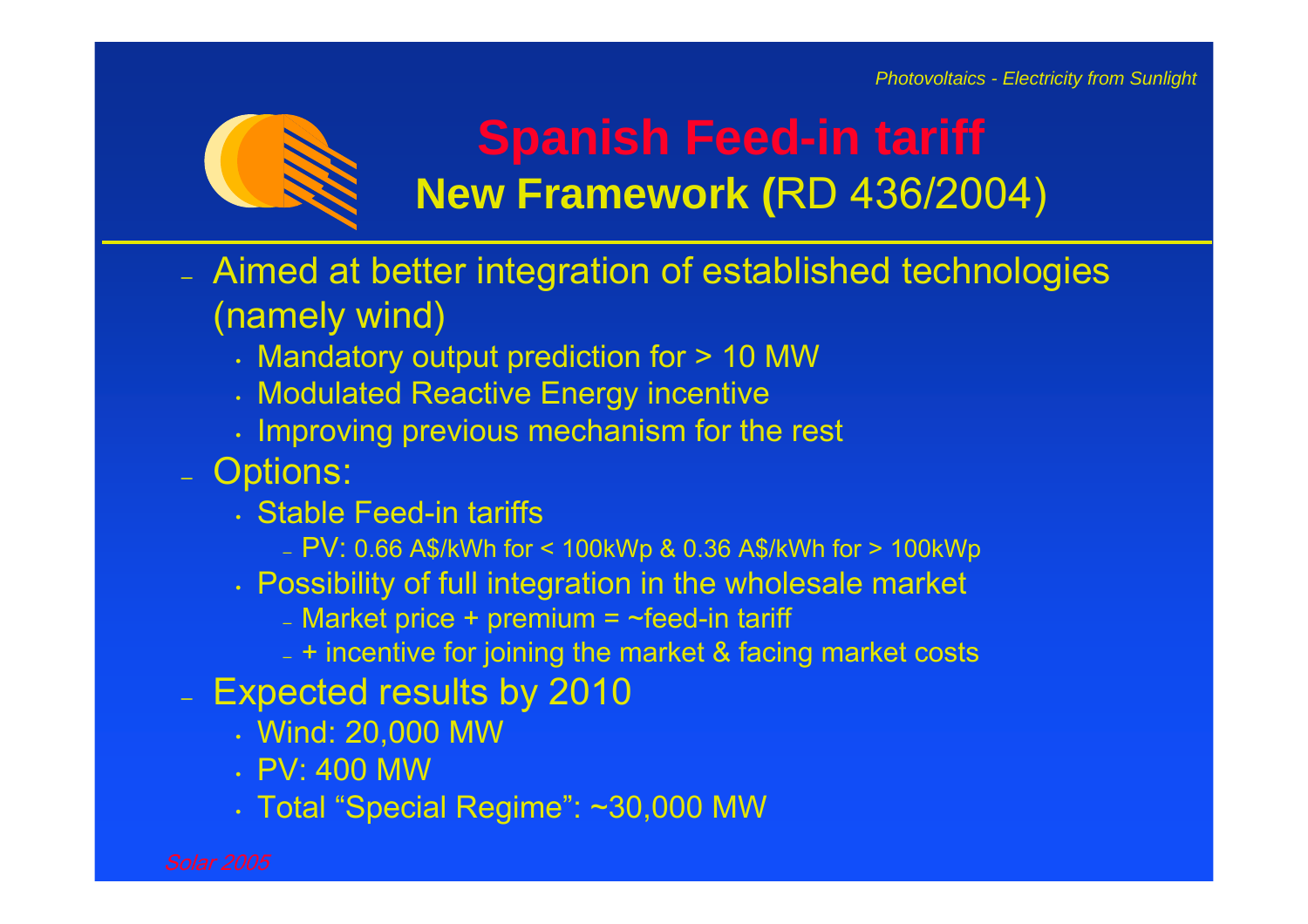

### **Spanish Feed-in tariff New Framework (**RD 436/2004)

- Aimed at better integration of established technologies (namely wind)
	- Mandatory output prediction for > 10 MW
	- Modulated Reactive Energy incentive
	- Improving previous mechanism for the rest
- Options:
	- Stable Feed-in tariffs
		- PV: 0.66 A\$/kWh for < 100kWp & 0.36 A\$/kWh for > 100kWp
	- Possibility of full integration in the wholesale market
		- Market price + premium = ~feed-in tariff
		- + incentive for joining the market & facing market costs
- Expected results by 2010
	- Wind: 20,000 MW
	- PV: 400 MW
	- Total "Special Regime": ~30,000 MW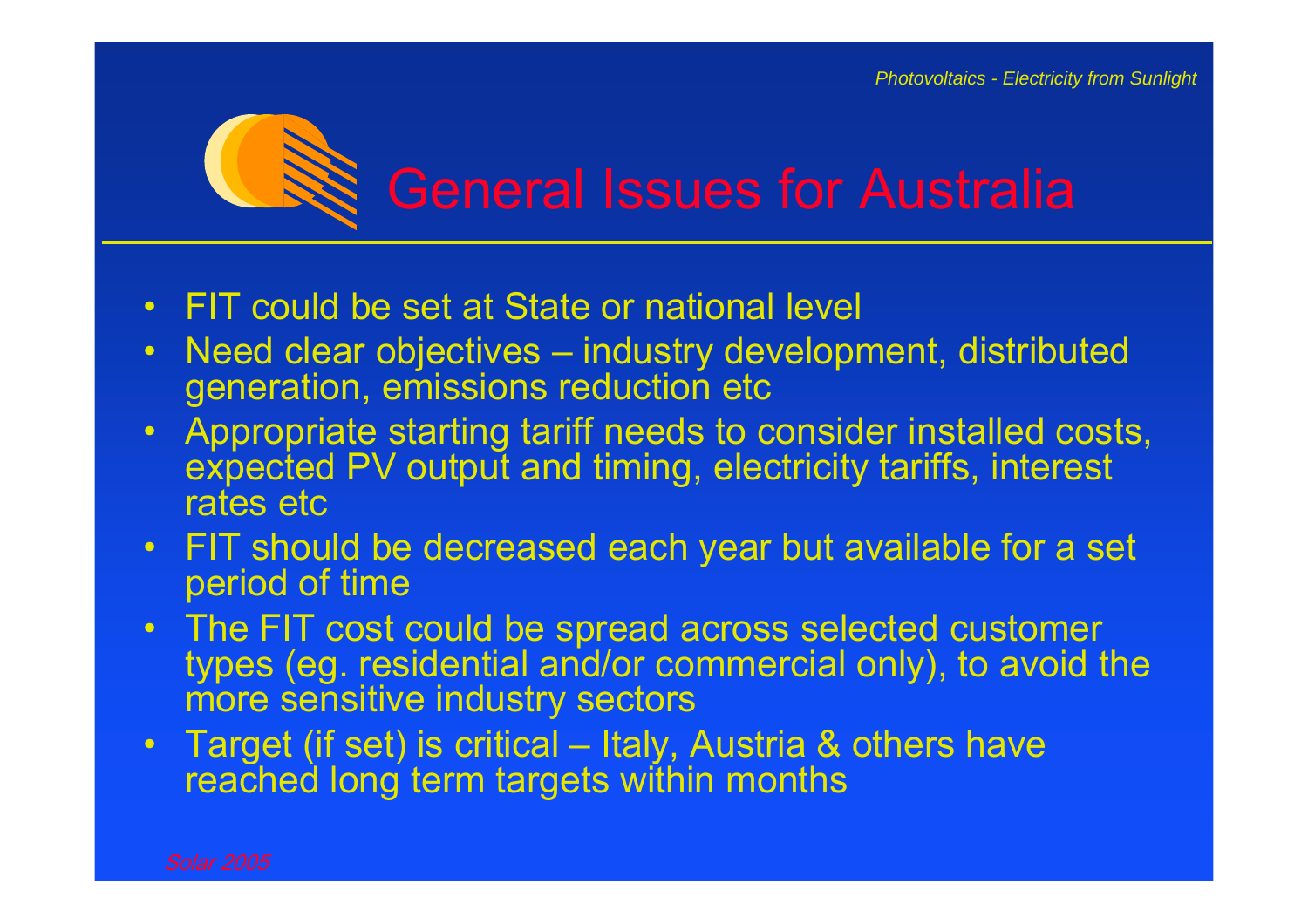## General Issues for Australia

- •FIT could be set at State or national level
- $\bullet$  Need clear objectives – industry development, distributed generation, emissions reduction etc
- • Appropriate starting tariff needs to consider installed costs, expected PV output and timing, electricity tariffs, interest rates etc
- $\bullet$  FIT should be decreased each year but available for a set period of time
- $\bullet$  The FIT cost could be spread across selected customer types (eg. residential and/or commercial only), to avoid the more sensitive industry sectors
- • Target (if set) is critical – Italy, Austria & others have reached long term targets within months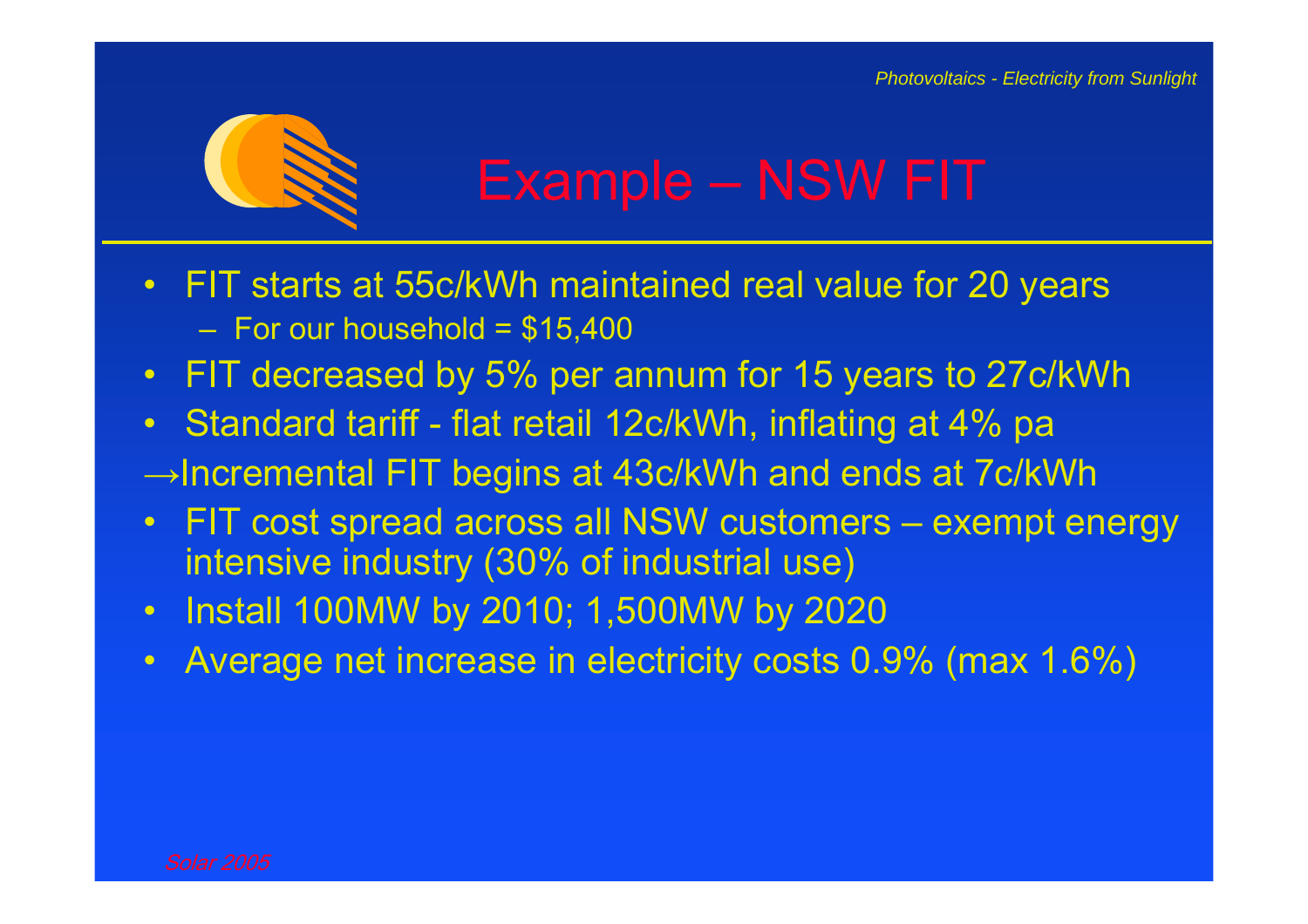

- $\bullet$  FIT starts at 55c/kWh maintained real value for 20 years – For our household = \$15,400
- $\bullet$ FIT decreased by 5% per annum for 15 years to 27c/kWh
- •Standard tariff - flat retail 12c/kWh, inflating at 4% pa
- <sup>→</sup>Incremental FIT begins at 43c/kWh and ends at 7c/kWh
- • FIT cost spread across all NSW customers – exempt energy intensive industry (30% of industrial use)
- $\bullet$ Install 100MW by 2010; 1,500MW by 2020
- $\bullet$ Average net increase in electricity costs 0.9% (max 1.6%)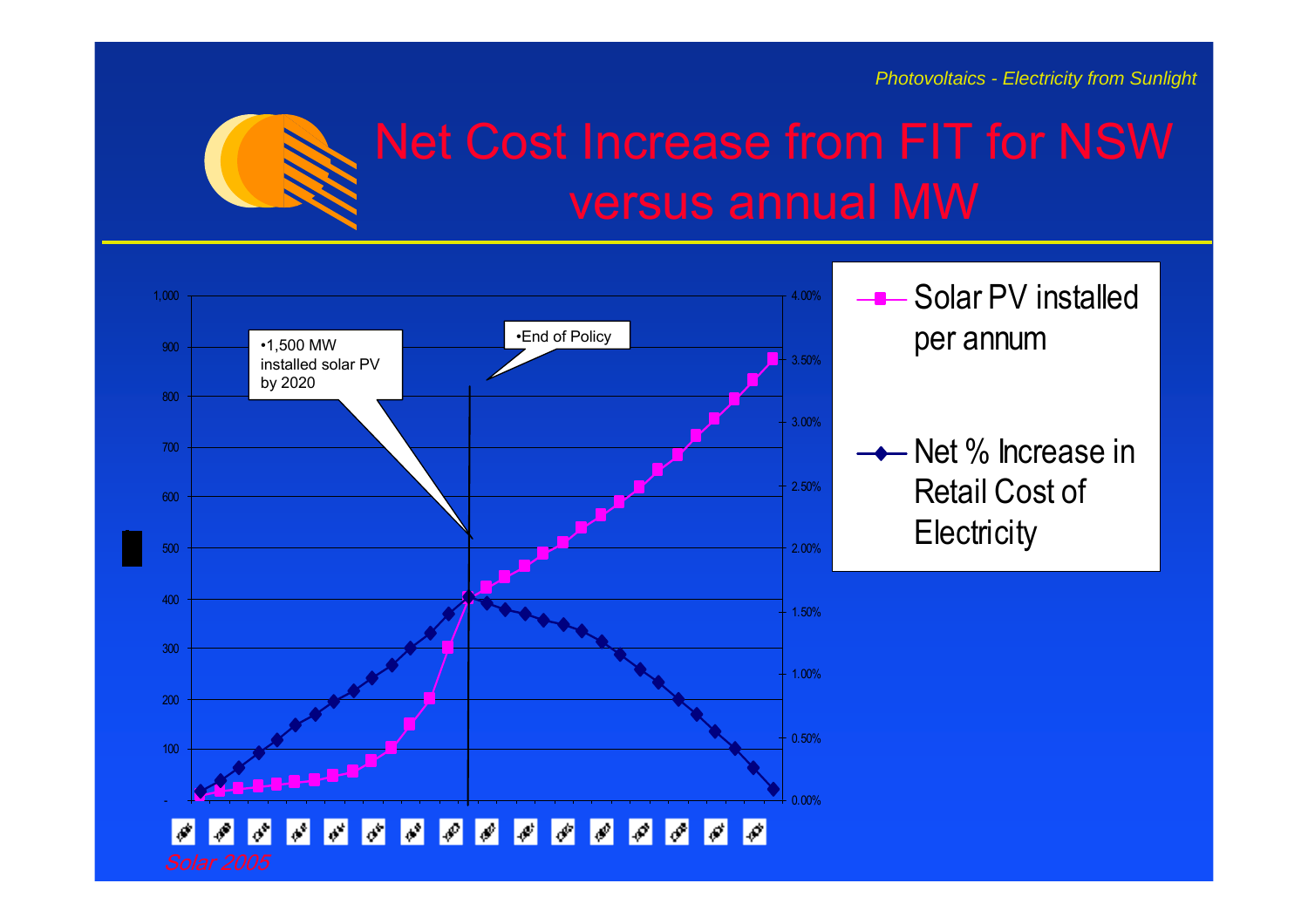

# versus annual MW